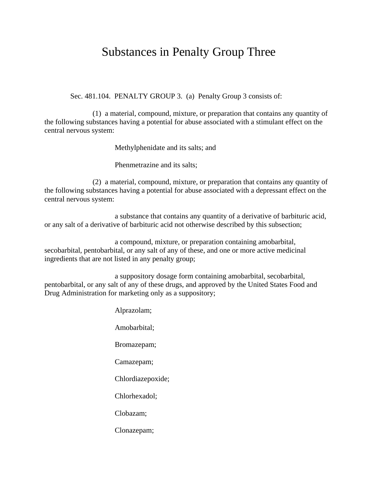## Substances in Penalty Group Three

Sec. 481.104. PENALTY GROUP 3. (a) Penalty Group 3 consists of:

(1) a material, compound, mixture, or preparation that contains any quantity of the following substances having a potential for abuse associated with a stimulant effect on the central nervous system:

Methylphenidate and its salts; and

Phenmetrazine and its salts;

(2) a material, compound, mixture, or preparation that contains any quantity of the following substances having a potential for abuse associated with a depressant effect on the central nervous system:

a substance that contains any quantity of a derivative of barbituric acid, or any salt of a derivative of barbituric acid not otherwise described by this subsection;

a compound, mixture, or preparation containing amobarbital, secobarbital, pentobarbital, or any salt of any of these, and one or more active medicinal ingredients that are not listed in any penalty group;

a suppository dosage form containing amobarbital, secobarbital, pentobarbital, or any salt of any of these drugs, and approved by the United States Food and Drug Administration for marketing only as a suppository;

> Alprazolam; Amobarbital; Bromazepam; Camazepam; Chlordiazepoxide; Chlorhexadol; Clobazam; Clonazepam;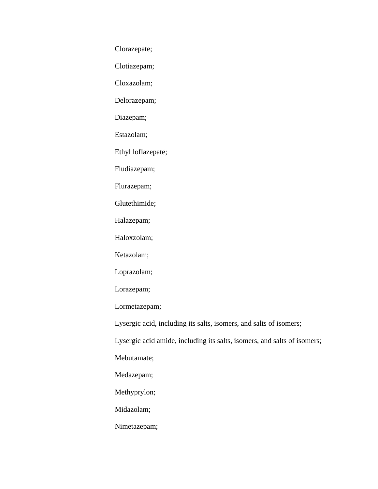Clorazepate;

Clotiazepam;

Cloxazolam;

Delorazepam;

Diazepam;

Estazolam;

Ethyl loflazepate;

Fludiazepam;

Flurazepam;

Glutethimide;

Halazepam;

Haloxzolam;

Ketazolam;

Loprazolam;

Lorazepam;

Lormetazepam;

Lysergic acid, including its salts, isomers, and salts of isomers;

Lysergic acid amide, including its salts, isomers, and salts of isomers;

Mebutamate;

Medazepam;

Methyprylon;

Midazolam;

Nimetazepam;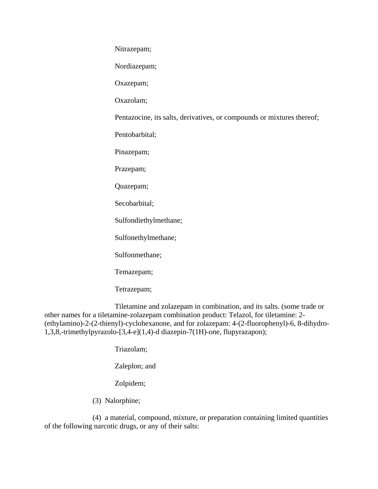Nitrazepam;

Nordiazepam;

Oxazepam;

Oxazolam;

Pentazocine, its salts, derivatives, or compounds or mixtures thereof;

Pentobarbital;

Pinazepam;

Prazepam;

Quazepam;

Secobarbital;

Sulfondiethylmethane;

Sulfonethylmethane;

Sulfonmethane;

Temazepam;

Tetrazepam;

Tiletamine and zolazepam in combination, and its salts. (some trade or other names for a tiletamine-zolazepam combination product: Telazol, for tiletamine: 2- (ethylamino)-2-(2-thienyl)-cyclohexanone, and for zolazepam: 4-(2-fluorophenyl)-6, 8-dihydro-1,3,8,-trimethylpyrazolo-[3,4-e](1,4)-d diazepin-7(1H)-one, flupyrazapon);

Triazolam;

Zaleplon; and

Zolpidem;

(3) Nalorphine;

(4) a material, compound, mixture, or preparation containing limited quantities of the following narcotic drugs, or any of their salts: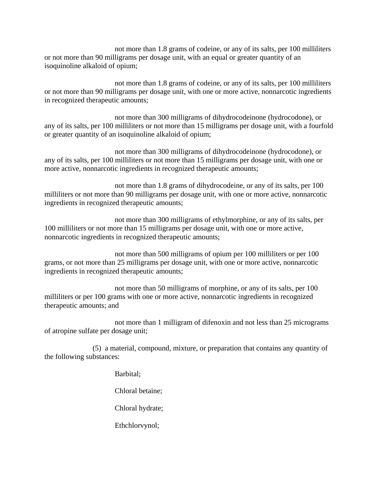not more than 1.8 grams of codeine, or any of its salts, per 100 milliliters or not more than 90 milligrams per dosage unit, with an equal or greater quantity of an isoquinoline alkaloid of opium;

not more than 1.8 grams of codeine, or any of its salts, per 100 milliliters or not more than 90 milligrams per dosage unit, with one or more active, nonnarcotic ingredients in recognized therapeutic amounts;

not more than 300 milligrams of dihydrocodeinone (hydrocodone), or any of its salts, per 100 milliliters or not more than 15 milligrams per dosage unit, with a fourfold or greater quantity of an isoquinoline alkaloid of opium;

not more than 300 milligrams of dihydrocodeinone (hydrocodone), or any of its salts, per 100 milliliters or not more than 15 milligrams per dosage unit, with one or more active, nonnarcotic ingredients in recognized therapeutic amounts;

not more than 1.8 grams of dihydrocodeine, or any of its salts, per 100 milliliters or not more than 90 milligrams per dosage unit, with one or more active, nonnarcotic ingredients in recognized therapeutic amounts;

not more than 300 milligrams of ethylmorphine, or any of its salts, per 100 milliliters or not more than 15 milligrams per dosage unit, with one or more active, nonnarcotic ingredients in recognized therapeutic amounts;

not more than 500 milligrams of opium per 100 milliliters or per 100 grams, or not more than 25 milligrams per dosage unit, with one or more active, nonnarcotic ingredients in recognized therapeutic amounts;

not more than 50 milligrams of morphine, or any of its salts, per 100 milliliters or per 100 grams with one or more active, nonnarcotic ingredients in recognized therapeutic amounts; and

not more than 1 milligram of difenoxin and not less than 25 micrograms of atropine sulfate per dosage unit;

(5) a material, compound, mixture, or preparation that contains any quantity of the following substances:

Barbital;

Chloral betaine;

Chloral hydrate;

Ethchlorvynol;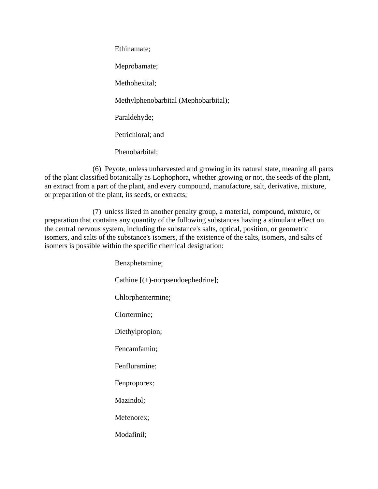Ethinamate; Meprobamate; Methohexital; Methylphenobarbital (Mephobarbital); Paraldehyde; Petrichloral; and Phenobarbital;

(6) Peyote, unless unharvested and growing in its natural state, meaning all parts of the plant classified botanically as Lophophora, whether growing or not, the seeds of the plant, an extract from a part of the plant, and every compound, manufacture, salt, derivative, mixture, or preparation of the plant, its seeds, or extracts;

(7) unless listed in another penalty group, a material, compound, mixture, or preparation that contains any quantity of the following substances having a stimulant effect on the central nervous system, including the substance's salts, optical, position, or geometric isomers, and salts of the substance's isomers, if the existence of the salts, isomers, and salts of isomers is possible within the specific chemical designation:

> Benzphetamine; Cathine [(+)-norpseudoephedrine]; Chlorphentermine; Clortermine; Diethylpropion; Fencamfamin; Fenfluramine; Fenproporex; Mazindol; Mefenorex; Modafinil;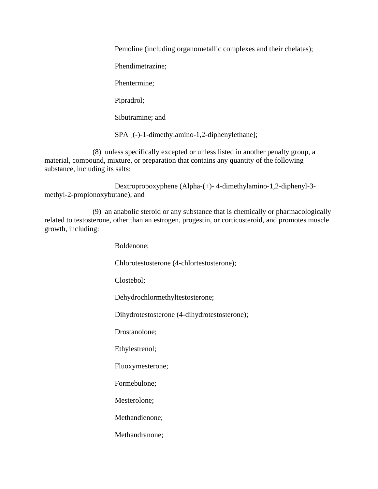Pemoline (including organometallic complexes and their chelates);

Phendimetrazine;

Phentermine;

Pipradrol;

Sibutramine; and

SPA [(-)-1-dimethylamino-1,2-diphenylethane];

(8) unless specifically excepted or unless listed in another penalty group, a material, compound, mixture, or preparation that contains any quantity of the following substance, including its salts:

Dextropropoxyphene (Alpha-(+)- 4-dimethylamino-1,2-diphenyl-3 methyl-2-propionoxybutane); and

(9) an anabolic steroid or any substance that is chemically or pharmacologically related to testosterone, other than an estrogen, progestin, or corticosteroid, and promotes muscle growth, including:

Boldenone;

Chlorotestosterone (4-chlortestosterone);

Clostebol;

Dehydrochlormethyltestosterone;

Dihydrotestosterone (4-dihydrotestosterone);

Drostanolone;

Ethylestrenol;

Fluoxymesterone;

Formebulone;

Mesterolone;

Methandienone;

Methandranone;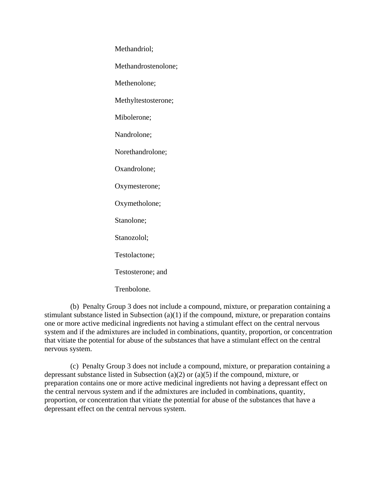Methandriol;

Methandrostenolone;

Methenolone;

Methyltestosterone;

Mibolerone;

Nandrolone;

Norethandrolone;

Oxandrolone;

Oxymesterone;

Oxymetholone;

Stanolone;

Stanozolol;

Testolactone;

Testosterone; and

Trenbolone.

(b) Penalty Group 3 does not include a compound, mixture, or preparation containing a stimulant substance listed in Subsection (a)(1) if the compound, mixture, or preparation contains one or more active medicinal ingredients not having a stimulant effect on the central nervous system and if the admixtures are included in combinations, quantity, proportion, or concentration that vitiate the potential for abuse of the substances that have a stimulant effect on the central nervous system.

(c) Penalty Group 3 does not include a compound, mixture, or preparation containing a depressant substance listed in Subsection (a)(2) or (a)(5) if the compound, mixture, or preparation contains one or more active medicinal ingredients not having a depressant effect on the central nervous system and if the admixtures are included in combinations, quantity, proportion, or concentration that vitiate the potential for abuse of the substances that have a depressant effect on the central nervous system.